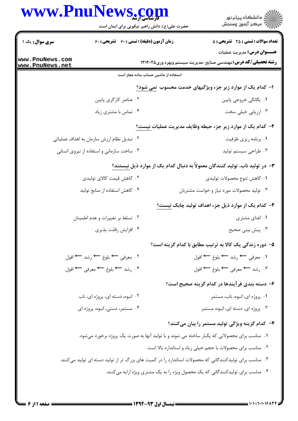|                                    | www.PnuNews.com<br>حضرت علی(ع): دانش راهبر نیکویی برای ایمان است                                       | ڪ دانشڪاه پيا <sub>م</sub> نور<br>۾ مرڪز آزمون وسنڊش                                                        |
|------------------------------------|--------------------------------------------------------------------------------------------------------|-------------------------------------------------------------------------------------------------------------|
| <b>سری سوال :</b> یک ۱             | <b>زمان آزمون (دقیقه) : تستی : 60 ٪ تشریحی : 60</b>                                                    | <b>تعداد سوالات : تستی : 25 گشریحی : 5</b>                                                                  |
| www.PnuNews.com<br>www.PnuNews.net |                                                                                                        | <b>عنـــوان درس:</b> مديريت عمليات<br><b>رشته تحصیلی/کد درس:</b> مهندسی صنایع-مدیریت سیستم وبهره وری1۳۱۴۰۲۵ |
|                                    | استفاده از ماشین حساب ساده مجاز است                                                                    |                                                                                                             |
|                                    |                                                                                                        | ۱– کدام یک از موارد زیر جزء ویژگیهای خدمت محسوب نمی شود؟                                                    |
|                                    | ۰۲ عناصر کارگری پایین                                                                                  | ۰۱ یگانگی خروجی پایین                                                                                       |
|                                    | ۰۴ تماس با مشتری زیاد                                                                                  | ۰۳ ارزیابی خیلی سخت                                                                                         |
|                                    |                                                                                                        | ۲– کدام یک از موارد زیر جزء حیطه وظایف مدیریت عملیات نیست؟                                                  |
|                                    | ۰۲ تبدیل نظام ارزش سازمان به اهداف عملیاتی                                                             | ۰۱ برنامه ریزی ظرفیت                                                                                        |
|                                    | ۰۴ ساخت سازمانی و استفاده از نیروی انسانی                                                              | ۰۳ طراحی سیستم تولید                                                                                        |
|                                    |                                                                                                        | ۳- در تولید ناب، تولید کنندگان معمولاً به دنبال کدام یک از موارد ذیل نیستند؟                                |
|                                    | ۰۲ کاهش قیمت کالای تولیدی                                                                              | ٠١ كاهش تنوع محصولات توليدى                                                                                 |
|                                    | ۰۴ کاهش استفاده از منابع تولید                                                                         | ۰۳ تولید محصولات مورد نیاز و خواست مشتریان                                                                  |
|                                    |                                                                                                        | ۴– کدام یک از موارد ذیل جزء اهداف تولید چابک نیست؟                                                          |
|                                    | ۰۲ تسلط بر تغییرات و عدم اطمینان                                                                       | ۰۱ اغنای مشتری                                                                                              |
|                                    | ۰۴ افزایش رقابت پذیری                                                                                  | ۰۳ پیش بینی صحیح                                                                                            |
|                                    |                                                                                                        | ۵– دوره زندگی یک کالا به ترتیب مطابق با کدام گزینه است؟                                                     |
|                                    | ۲. معرفي ← بلوغ ← رشد ← افول                                                                           | ١. معرفي ← رشد ← بلوغ ← افول                                                                                |
|                                    | ۴. رشد ← بلوغ ← معرفي ← افول                                                                           | ۰۳ رشد — معرفی — بلوغ — افول                                                                                |
|                                    |                                                                                                        | ۶– دسته بندی فرآیندها در کدام گزینه صحیح است؟                                                               |
|                                    | ۲. انبوه، دسته ای، پروژه ای، ناب                                                                       | ۰۱ پروژه ای، انبوه، ناب، مستمر                                                                              |
|                                    | ۰۴ مستمر، دستی، انبوه، پروژه ای                                                                        | ۰۳ پروژه ای، دسته ای، انبوه، مستمر                                                                          |
|                                    |                                                                                                        | ۷– کدام گزینه ویژگی تولید مستمر را بیان میکنند؟                                                             |
|                                    | ۰۱ مناسب برای محصولاتی که یکبار ساخته می شوند و با تولید آنها به صورت یک پروژه برخورد میشود.           |                                                                                                             |
|                                    |                                                                                                        | ۰۲ مناسب برای محصولات با حجم خیلی زیاد و استاندارد بالا است.                                                |
|                                    | ۰۳ مناسب برای تولیدکنندگانی که محصولات استاندارد را در کمیت های بزرگ تر از تولید دسته ای تولید میکنند. |                                                                                                             |
|                                    |                                                                                                        | ۰۴ مناسب برای تولیدکنندگانی که یک محصول ویژه را به یک مشتری ویژه ارایه میکنند.                              |
|                                    |                                                                                                        |                                                                                                             |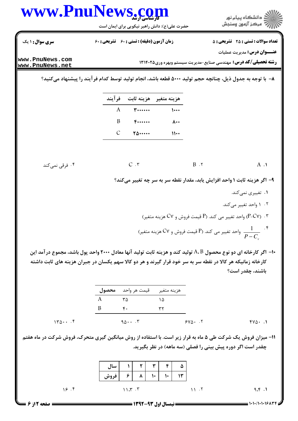

 $140 \cdots$  $90...$  $5Y\Delta$ . T  $fV\Delta$ .  $\theta$ 

11- میزان فروش یک شرکت طی ۵ ماه به قرار زیر است. با استفاده از روش میانگین گیری متحرک، فروش شرکت در ماه هفتم چقدر است اگر دوره پیش بینی را فصلی (سه ماهه) در نظر بگیرید.

|            | سال  |         |                        |    |    | ۵  |      |                   |
|------------|------|---------|------------------------|----|----|----|------|-------------------|
|            | فروش |         |                        | ۱٠ | ۱٠ | ۱۳ |      |                   |
| 19.5       |      | 11.57.7 |                        |    |    |    | 11.7 | 9.5.1             |
| صفحه 12ز 6 |      |         | = نیمسال اول ۹۳-۱۳۹۲ = |    |    |    |      | $1 - 1 - 11 - 19$ |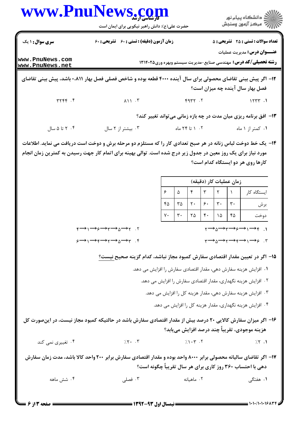|                                    | www.PnuNews <u>.co</u> m<br>حضرت علی(ع): دانش راهبر نیکویی برای ایمان است                                                                                                                                                     |                                                                      |                      |                      |                                                                                                             |                      |                         | دانشگاه پيام نور $\le$<br>رِ آھرڪز آزمون وسنڊش                                                            |
|------------------------------------|-------------------------------------------------------------------------------------------------------------------------------------------------------------------------------------------------------------------------------|----------------------------------------------------------------------|----------------------|----------------------|-------------------------------------------------------------------------------------------------------------|----------------------|-------------------------|-----------------------------------------------------------------------------------------------------------|
| سری سوال: ۱ یک                     | <b>زمان آزمون (دقیقه) : تستی : 60 ٪ تشریحی : 60</b>                                                                                                                                                                           |                                                                      |                      |                      | <b>تعداد سوالات : تستی : 25 گشریحی : 5</b>                                                                  |                      |                         |                                                                                                           |
| www.PnuNews.com<br>www.PnuNews.net |                                                                                                                                                                                                                               |                                                                      |                      |                      | <b>عنـــوان درس:</b> مدیریت عملیات<br><b>رشته تحصیلی/کد درس:</b> مهندسی صنایع-مدیریت سیستم وبهره وری۱۳۱۴۰۲۵ |                      |                         |                                                                                                           |
|                                    | ۱۲– اگر پیش بینی تقاضای محصولی برای سال آینده ۴۰۰۰ قطعه بوده و شاخص فصلی فصل بهار ۰،۸۱۱ باشد، پیش بینی تقاضای                                                                                                                 |                                                                      |                      |                      |                                                                                                             |                      |                         | فصل بهار سال آینده چه میزان است؟                                                                          |
| YYYY.                              | $\lambda$ $\lambda$ $\lambda$ $\lambda$ $\mu$                                                                                                                                                                                 |                                                                      | F2T                  |                      |                                                                                                             |                      |                         | 1577.1                                                                                                    |
|                                    |                                                                                                                                                                                                                               |                                                                      |                      |                      |                                                                                                             |                      |                         | ۱۳- افق برنامه ریزی میان مدت در چه بازه زمانی می تواند تغییر کند؟                                         |
| ۰۴ تا ۵ سال                        | ۰۳ بیشتر از ۲ سال                                                                                                                                                                                                             |                                                                      |                      | ۰۲ تا ۲۴ ماه         |                                                                                                             |                      |                         | ۰۱ کمتر از ۱ ماه                                                                                          |
|                                    | ۱۴- یک خط دوخت لباس زنانه در هر صبح تعدادی کار را که مستلزم دو مرحله برش و دوخت است دریافت می نماید. اطلاعات<br>مورد نیاز برای یک روز معین در جدول زیر درج شده است. توالی بهینه برای اتمام کار جهت رسیدن به کمترین زمان انجام |                                                                      |                      |                      |                                                                                                             |                      |                         | کارها روی هر دو ایستگاه کدام است؟                                                                         |
|                                    |                                                                                                                                                                                                                               |                                                                      |                      |                      |                                                                                                             |                      | زمان عمليات كار (دقيقه) |                                                                                                           |
|                                    |                                                                                                                                                                                                                               | $\mathbf{r}$<br>$\mathfrak{r}$<br>$\mathsf{r}$<br>۶<br>$\Delta$<br>۵ |                      |                      |                                                                                                             |                      | ایستگاه کار             |                                                                                                           |
|                                    |                                                                                                                                                                                                                               | ۴۵<br>٧٠                                                             | ۳۵<br>$\mathbf{r}$ . | $\mathsf{r}$ .<br>۲۵ | ۶۰<br>$\mathfrak{r}$ .                                                                                      | $\mathbf{r}$ .<br>١۵ | ٣٠<br>۴۵                | برش<br>دوخت                                                                                               |
|                                    | $\gamma \rightarrow \gamma \rightarrow \gamma \rightarrow \gamma \rightarrow \gamma \rightarrow \gamma$ . T                                                                                                                   |                                                                      |                      |                      |                                                                                                             |                      |                         | $\gamma \rightarrow \gamma \rightarrow \gamma \rightarrow \gamma \rightarrow \gamma \rightarrow \gamma$ . |
|                                    | $\varphi \longrightarrow \gamma \longrightarrow \varphi \longrightarrow \gamma \longrightarrow \gamma \longrightarrow \gamma$ .                                                                                               |                                                                      |                      |                      |                                                                                                             |                      |                         | $\gamma \rightarrow \gamma \rightarrow \gamma \rightarrow \gamma \rightarrow \gamma \rightarrow \gamma$ . |
|                                    | ۱۵– اگر در تعیین مقدار اقتصادی سفارش کمبود مجاز نباشد، کدام گزینه صحیح <u>نیست؟</u>                                                                                                                                           |                                                                      |                      |                      |                                                                                                             |                      |                         | ۰۱ افزایش هزینه سفارش دهی، مقدار اقتصادی سفارش را افزایش می دهد.                                          |
|                                    |                                                                                                                                                                                                                               |                                                                      |                      |                      |                                                                                                             |                      |                         | ۰۲ افزایش هزینه نگهداری، مقدار اقتصادی سفارش را افزایش می دهد.                                            |
|                                    |                                                                                                                                                                                                                               |                                                                      |                      |                      |                                                                                                             |                      |                         | ۰۳ افزایش هزینه سفارش دهی، مقدار هزینه کل را افزایش می دهد.                                               |
|                                    |                                                                                                                                                                                                                               |                                                                      |                      |                      |                                                                                                             |                      |                         | ۰۴ افزایش هزینه نگهداری، مقدار هزینه کل را افزایش می دهد.                                                 |
|                                    | ۱۶– اگر میزان سفارش کالایی ۲۰ درصد بیش از مقدار اقتصادی سفارش باشد در حالتیکه کمبود مجاز نیست، در اینصورت کل                                                                                                                  |                                                                      |                      |                      |                                                                                                             |                      |                         | هزینه موجودی، تقریباً چند درصد افزایش مییابد؟                                                             |
| ۰۴ تغییری نمی کند                  | 7.5.7                                                                                                                                                                                                                         | $7.1 \cdot 7.7$                                                      |                      |                      |                                                                                                             |                      |                         | $7.5$ .1                                                                                                  |
|                                    | ۱۷– اگر تقاضای سالیانه محصولی برابر ۸۰۰۰ واحد بوده و مقدار اقتصادی سفارش برابر ۲۰۰ واحد کالا باشد، مدت زمان سفارش                                                                                                             |                                                                      |                      |                      |                                                                                                             |                      |                         | دهی با احتساب ۳۶۰ روز کاری برای هر سال تقریباً چگونه است؟                                                 |
|                                    |                                                                                                                                                                                                                               |                                                                      |                      |                      |                                                                                                             |                      |                         |                                                                                                           |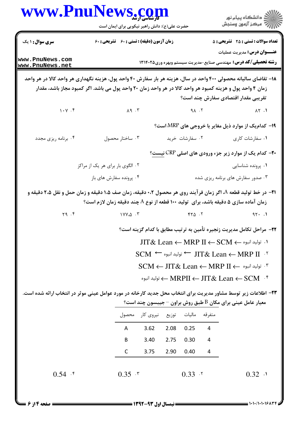|                                               | حضرت علی(ع): دانش راهبر نیکویی برای ایمان است                                                                     |      |                 |                | ڪ دانشڪاه پيام نور<br>۾ مرڪز آزمون وسنڊش                                                                                   |
|-----------------------------------------------|-------------------------------------------------------------------------------------------------------------------|------|-----------------|----------------|----------------------------------------------------------------------------------------------------------------------------|
| <b>سری سوال :</b> ۱ یک                        | زمان آزمون (دقیقه) : تستی : 60 تشریحی : 60                                                                        |      |                 |                | <b>تعداد سوالات : تستی : 25 گشریحی : 5</b>                                                                                 |
| www.PnuNews.com<br>www.PnuNews.net            |                                                                                                                   |      |                 |                | <b>عنـــوان درس:</b> مدیریت عملیات<br><b>رشته تحصیلی/کد درس:</b> مهندسی صنایع-مدیریت سیستم وبهره وری13146 13               |
|                                               | ۱۸– تقاضای سالیانه محصولی ۴۰۰ واحد در سال، هزینه هر بار سفارش ۴۰ واحد پول، هزینه نگهداری هر واحد کالا در هر واحد  |      |                 |                |                                                                                                                            |
|                                               | زمان ۴ واحد پول و هزینه کمبود هر واحد کالا در هر واحد زمان ۲۰ واحد پول می باشد. اگر کمبود مجاز باشد، مقدار        |      |                 |                |                                                                                                                            |
|                                               |                                                                                                                   |      |                 |                | تقریبی مقدار اقتصادی سفارش چند است؟                                                                                        |
| $\mathcal{N}\cdot\mathcal{V}$ . $\mathcal{F}$ | $\lambda$ q $\beta$ , $\Upsilon$                                                                                  |      |                 | $9\Lambda$ . T | $\Lambda \Upsilon$ .                                                                                                       |
|                                               |                                                                                                                   |      |                 |                | ۱۹- کدام یک از موارد ذیل مغایر با خروجی های MRP است؟                                                                       |
| ۰۴ برنامه ریزی مجدد                           | ۰۳ ساختار محصول                                                                                                   |      | ۰۲ سفارشات خرید |                | ۰۱ سفارشات کاری                                                                                                            |
|                                               |                                                                                                                   |      |                 |                | <b>۲۰</b> - کدام یک از موارد زیر جزء ورودی های اصلی CRP نیست؟                                                              |
|                                               | ۰۲ الگوی بار برای هر یک از مراکز                                                                                  |      |                 |                | ۰۱ پرونده شناسایی                                                                                                          |
|                                               | ۰۴ پرونده سفارش های باز                                                                                           |      |                 |                | ۰۳ صدور سفارش های برنامه ریزی شده                                                                                          |
|                                               | ـ T1− در خط تولید قطعه A، اگر زمان فر آیند روی هر محصول ۰،۲ دقیقه، زمان صف ۱،۵ دقیقه و زمان حمل و نقل ۲،۵ دقیقه و |      |                 |                |                                                                                                                            |
|                                               | زمان آماده سازی ۵ دقیقه باشد، برای تولید ۱۰۰ قطعه از نوع A چند دقیقه زمان لازم است؟                               |      |                 |                |                                                                                                                            |
| Y9.5                                          | $1$ Y Y $\Delta$ $\cdot$ $\tilde{r}$                                                                              |      | $YY\Delta$ .    |                | 97.1                                                                                                                       |
|                                               |                                                                                                                   |      |                 |                | ٢٢- مراحل تكامل مديريت زنجيره تأمين به ترتيب مطابق با كدام گزينه است؟                                                      |
|                                               |                                                                                                                   |      |                 |                | $\text{JIT\&} \ \text{Lean} \leftarrow \text{MRP} \ \text{II} \leftarrow \text{SCM} \leftarrow \text{I}$ ا. توليد انبوه -- |
|                                               |                                                                                                                   |      |                 |                | $\text{SCM} \leftarrow \text{UT\&}$ Lean ← MRP II                                                                          |
|                                               |                                                                                                                   |      |                 |                | $\text{SCM} \leftarrow \text{JIT\&}$ Lean $\leftarrow \text{MRP II} \leftarrow \text{SL}^*$ توليد انبوه $\text{N}$         |
|                                               |                                                                                                                   |      |                 |                | نوليد انبوه → MRPII ← JIT& Lean ← SCM گ توليد انبوه →                                                                      |
|                                               | ۲۳– اطلاعات زیر توسط مشاور مدیریت برای انتخاب محل جدید کارخانه در مورد عوامل عینی موثر در انتخاب ارائه شده است.   |      |                 |                |                                                                                                                            |
|                                               |                                                                                                                   |      |                 |                | معیار عامل عینی برای مکان $\mathrm{B}$ طبق روش براون – جیبسون چند است؟                                                     |
|                                               | متفرقه ماليات توزيع نيروىكار محصول                                                                                |      |                 |                |                                                                                                                            |
|                                               | 3.62<br>$\mathsf{A}$                                                                                              | 2.08 | 0.25            | 4              |                                                                                                                            |
|                                               | 3.40<br>B                                                                                                         | 2.75 | 0.30            | 4              |                                                                                                                            |
|                                               | $\mathsf{C}$<br>3.75                                                                                              | 2.90 | 0.40            | 4              |                                                                                                                            |
|                                               |                                                                                                                   |      |                 |                |                                                                                                                            |

۱۰۱۰/۱۰۱۰۱۶۸

صفحه ۱۴ز ۶ :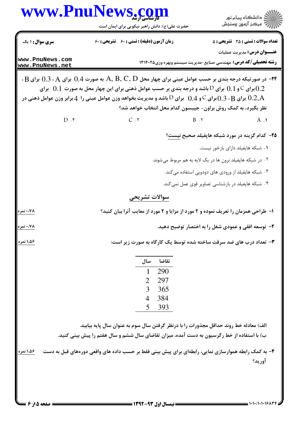|                                    | WWW.Pnunews.com<br>حضرت علی(ع): دانش راهبر نیکویی برای ایمان است                                                                                                                                                                                                                                                                                                                                                                                                                            | ڪ دانشڪاه پيا <sub>م</sub> نور<br>ر <i>7</i> مرڪز آزمون وسنڊش                                                                                                                                           |
|------------------------------------|---------------------------------------------------------------------------------------------------------------------------------------------------------------------------------------------------------------------------------------------------------------------------------------------------------------------------------------------------------------------------------------------------------------------------------------------------------------------------------------------|---------------------------------------------------------------------------------------------------------------------------------------------------------------------------------------------------------|
| <b>سری سوال :</b> ۱ یک             | زمان آزمون (دقیقه) : تستی : 60 ٪ تشریحی : 60                                                                                                                                                                                                                                                                                                                                                                                                                                                | <b>تعداد سوالات : تستی : 25 - تشریحی : 5</b>                                                                                                                                                            |
| www.PnuNews.com<br>www.PnuNews.net |                                                                                                                                                                                                                                                                                                                                                                                                                                                                                             | <b>عنـــوان درس:</b> مدیریت عملیات<br><b>رشته تحصیلی/کد درس:</b> مهندسی صنایع-مدیریت سیستم وبهره وری131461 13                                                                                           |
|                                    | $\cdot\text{B}$ در صورتیکه درجه بندی بر حسب عوامل عینی برای چهار محل $\text{A, B, C, D}$ به صورت $0.4$ برای $\cdot\text{A}$ برای $\text{F}$<br>برای $\rm C$ و $\rm 0.1$ برای $\rm D$ باشد و درجه بندی بر حسب عوامل ذهنی برای این چهار محل به صورت $\rm 0.1$ برای $\rm 0.2$<br>برای $0.3\cdot\rm{B}$ برای $^{0}$ و $^{0}$ ل برای $^{0}$ باشد و مدیریت بخواهد وزن عوامل عینی را $4\,$ برابر وزن عوامل ذهنی در $0.2, {\rm A}$<br>نظر بگیرد، به کمک روش براون- جیبسون کدام محل انتخاب خواهد شد؟ |                                                                                                                                                                                                         |
| $D \cdot f$                        | C.7<br>$B \cdot 7$                                                                                                                                                                                                                                                                                                                                                                                                                                                                          | $A \cdot Y$                                                                                                                                                                                             |
|                                    |                                                                                                                                                                                                                                                                                                                                                                                                                                                                                             | ۲۵– کدام گزینه در مورد شبکه هاپفیلد صحیح نیست؟<br>۰۱ شبکه هاپفیلد دارای بازخور نیست.<br>۰۲ در شبکه هاپفیلد نرون ها در یک لایه به هم مربوط میشوند.<br>۰۳ شبکه هاپفیلد از ورودی های دودویی استفاده میکند. |
|                                    | سوالات تشريحي                                                                                                                                                                                                                                                                                                                                                                                                                                                                               | ۰۴ شبکه هاپفیلد در بازشناسی تصاویر قوی عمل نمیکند.                                                                                                                                                      |
| ۰،۷۸ نمره                          | ا– طراحی همزمان را تعریف نموده و ۲ مورد از مزایا و ۲ مورد از معایب آنرا بیان کنید؟                                                                                                                                                                                                                                                                                                                                                                                                          |                                                                                                                                                                                                         |
| ۰،۷۸ نمره                          |                                                                                                                                                                                                                                                                                                                                                                                                                                                                                             | ۲- توسعه افقی و عمودی شغل را به اختصار توضیح دهید.                                                                                                                                                      |
| ۱،۵۶ نمره                          | ۳- تعداد درب های ضد سرقت ساخته شده توسط یک کارگاه به صورت زیر است:<br>تقاضا<br>سال<br>290<br>1<br>297<br>2<br>3<br>365<br>384<br>$\overline{4}$<br>5<br>393                                                                                                                                                                                                                                                                                                                                 |                                                                                                                                                                                                         |
|                                    | الف) معادله خط روند حداقل مجذورات را با درنظر گرفتن سال سوم به عنوان سال پایه بیابید.<br>ب) با استفاده از خط رگرسیون به دست آمده، میزان تقاضای سال ششم و سال هفتم را پیش بینی کنید.                                                                                                                                                                                                                                                                                                         |                                                                                                                                                                                                         |
| 1،۵۶ نمره                          | ۴- به کمک رابطه هموارسازی نمایی، رابطهای برای پیش بینی فقط بر حسب داده های واقعی دورههای قبل به دست                                                                                                                                                                                                                                                                                                                                                                                         | آوريد؟                                                                                                                                                                                                  |

NT